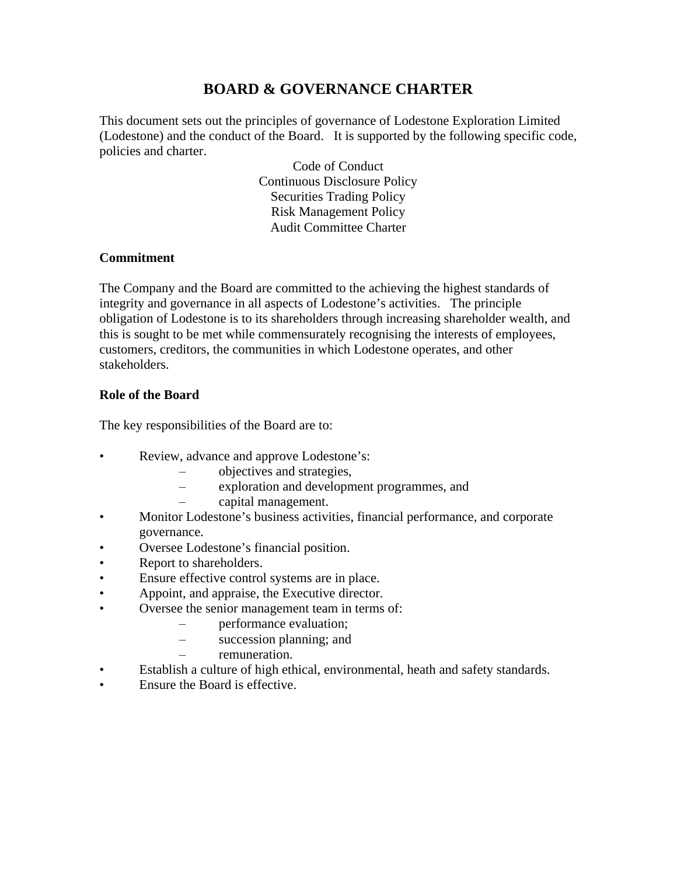# **BOARD & GOVERNANCE CHARTER**

This document sets out the principles of governance of Lodestone Exploration Limited (Lodestone) and the conduct of the Board. It is supported by the following specific code, policies and charter.

> Code of Conduct Continuous Disclosure Policy Securities Trading Policy Risk Management Policy Audit Committee Charter

#### **Commitment**

The Company and the Board are committed to the achieving the highest standards of integrity and governance in all aspects of Lodestone's activities. The principle obligation of Lodestone is to its shareholders through increasing shareholder wealth, and this is sought to be met while commensurately recognising the interests of employees, customers, creditors, the communities in which Lodestone operates, and other stakeholders.

#### **Role of the Board**

The key responsibilities of the Board are to:

- Review, advance and approve Lodestone's:
	- objectives and strategies,
	- exploration and development programmes, and
	- capital management.
- Monitor Lodestone's business activities, financial performance, and corporate governance.
- Oversee Lodestone's financial position.
- Report to shareholders.
- Ensure effective control systems are in place.
- Appoint, and appraise, the Executive director.
- Oversee the senior management team in terms of:
	- performance evaluation;
	- succession planning; and
		- remuneration.
- Establish a culture of high ethical, environmental, heath and safety standards.
- Ensure the Board is effective.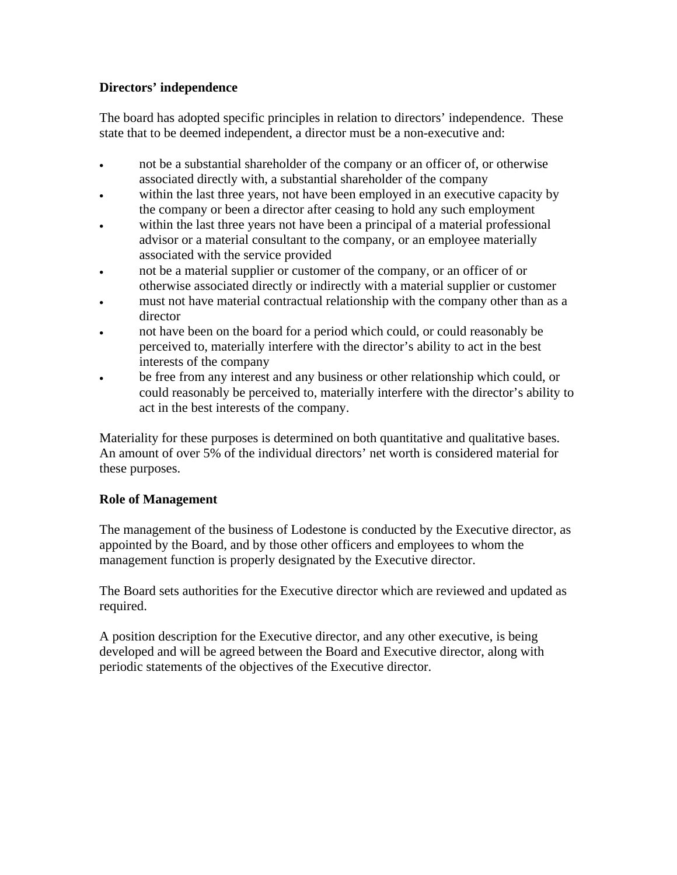## **Directors' independence**

The board has adopted specific principles in relation to directors' independence. These state that to be deemed independent, a director must be a non-executive and:

- not be a substantial shareholder of the company or an officer of, or otherwise associated directly with, a substantial shareholder of the company
- within the last three years, not have been employed in an executive capacity by the company or been a director after ceasing to hold any such employment
- within the last three years not have been a principal of a material professional advisor or a material consultant to the company, or an employee materially associated with the service provided
- not be a material supplier or customer of the company, or an officer of or otherwise associated directly or indirectly with a material supplier or customer
- must not have material contractual relationship with the company other than as a director
- not have been on the board for a period which could, or could reasonably be perceived to, materially interfere with the director's ability to act in the best interests of the company
- be free from any interest and any business or other relationship which could, or could reasonably be perceived to, materially interfere with the director's ability to act in the best interests of the company.

Materiality for these purposes is determined on both quantitative and qualitative bases. An amount of over 5% of the individual directors' net worth is considered material for these purposes.

# **Role of Management**

The management of the business of Lodestone is conducted by the Executive director, as appointed by the Board, and by those other officers and employees to whom the management function is properly designated by the Executive director.

The Board sets authorities for the Executive director which are reviewed and updated as required.

A position description for the Executive director, and any other executive, is being developed and will be agreed between the Board and Executive director, along with periodic statements of the objectives of the Executive director.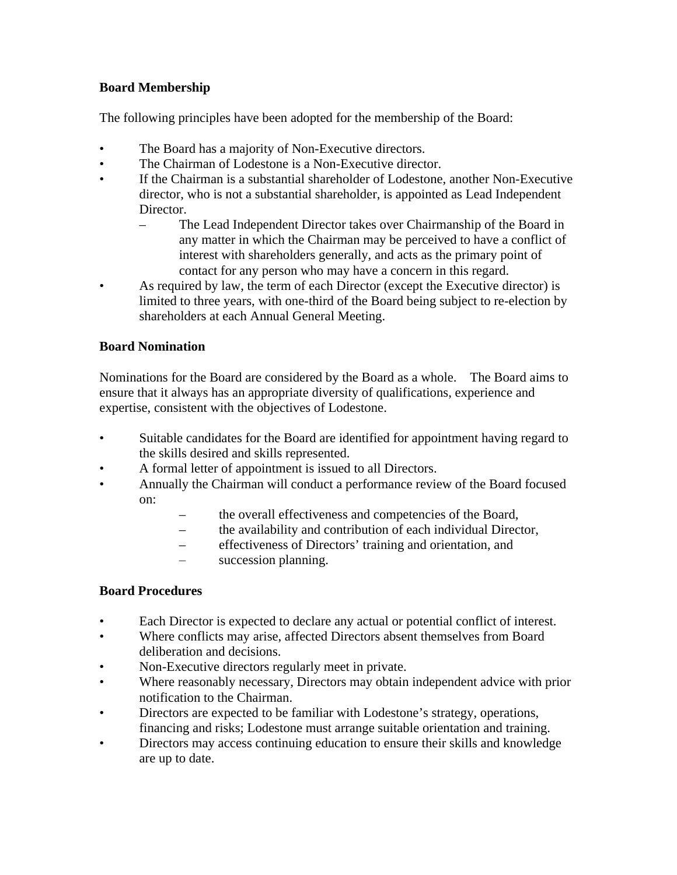### **Board Membership**

The following principles have been adopted for the membership of the Board:

- The Board has a majority of Non-Executive directors.
- The Chairman of Lodestone is a Non-Executive director.
- If the Chairman is a substantial shareholder of Lodestone, another Non-Executive director, who is not a substantial shareholder, is appointed as Lead Independent Director.
	- The Lead Independent Director takes over Chairmanship of the Board in any matter in which the Chairman may be perceived to have a conflict of interest with shareholders generally, and acts as the primary point of contact for any person who may have a concern in this regard.
- As required by law, the term of each Director (except the Executive director) is limited to three years, with one-third of the Board being subject to re-election by shareholders at each Annual General Meeting.

## **Board Nomination**

Nominations for the Board are considered by the Board as a whole. The Board aims to ensure that it always has an appropriate diversity of qualifications, experience and expertise, consistent with the objectives of Lodestone.

- Suitable candidates for the Board are identified for appointment having regard to the skills desired and skills represented.
- A formal letter of appointment is issued to all Directors.
- Annually the Chairman will conduct a performance review of the Board focused on:
	- the overall effectiveness and competencies of the Board,
	- the availability and contribution of each individual Director,
	- effectiveness of Directors' training and orientation, and
	- succession planning.

# **Board Procedures**

- Each Director is expected to declare any actual or potential conflict of interest.
- Where conflicts may arise, affected Directors absent themselves from Board deliberation and decisions.
- Non-Executive directors regularly meet in private.
- Where reasonably necessary, Directors may obtain independent advice with prior notification to the Chairman.
- Directors are expected to be familiar with Lodestone's strategy, operations, financing and risks; Lodestone must arrange suitable orientation and training.
- Directors may access continuing education to ensure their skills and knowledge are up to date.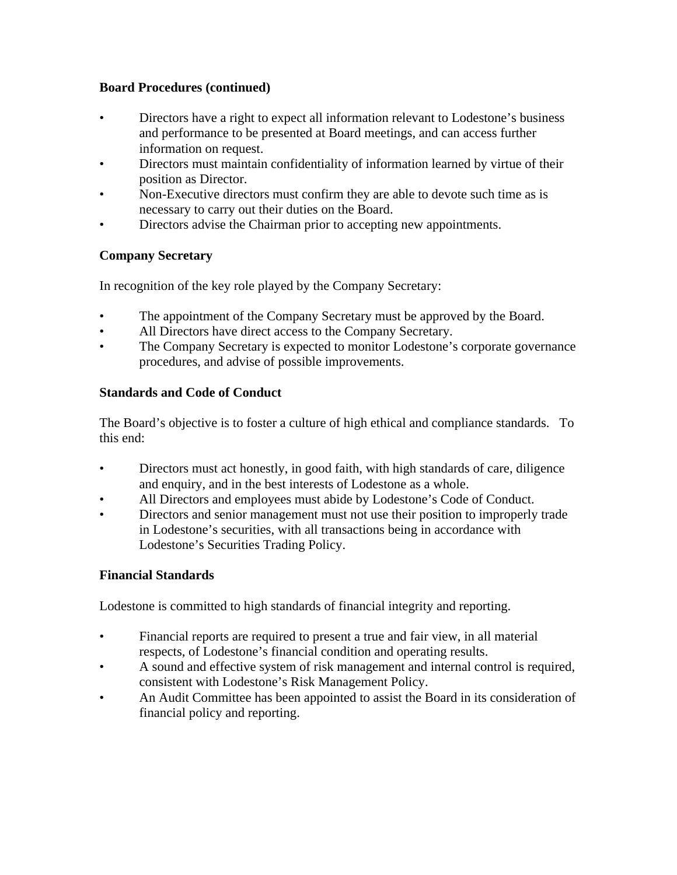#### **Board Procedures (continued)**

- Directors have a right to expect all information relevant to Lodestone's business and performance to be presented at Board meetings, and can access further information on request.
- Directors must maintain confidentiality of information learned by virtue of their position as Director.
- Non-Executive directors must confirm they are able to devote such time as is necessary to carry out their duties on the Board.
- Directors advise the Chairman prior to accepting new appointments.

# **Company Secretary**

In recognition of the key role played by the Company Secretary:

- The appointment of the Company Secretary must be approved by the Board.
- All Directors have direct access to the Company Secretary.
- The Company Secretary is expected to monitor Lodestone's corporate governance procedures, and advise of possible improvements.

## **Standards and Code of Conduct**

The Board's objective is to foster a culture of high ethical and compliance standards. To this end:

- Directors must act honestly, in good faith, with high standards of care, diligence and enquiry, and in the best interests of Lodestone as a whole.
- All Directors and employees must abide by Lodestone's Code of Conduct.
- Directors and senior management must not use their position to improperly trade in Lodestone's securities, with all transactions being in accordance with Lodestone's Securities Trading Policy.

#### **Financial Standards**

Lodestone is committed to high standards of financial integrity and reporting.

- Financial reports are required to present a true and fair view, in all material respects, of Lodestone's financial condition and operating results.
- A sound and effective system of risk management and internal control is required, consistent with Lodestone's Risk Management Policy.
- An Audit Committee has been appointed to assist the Board in its consideration of financial policy and reporting.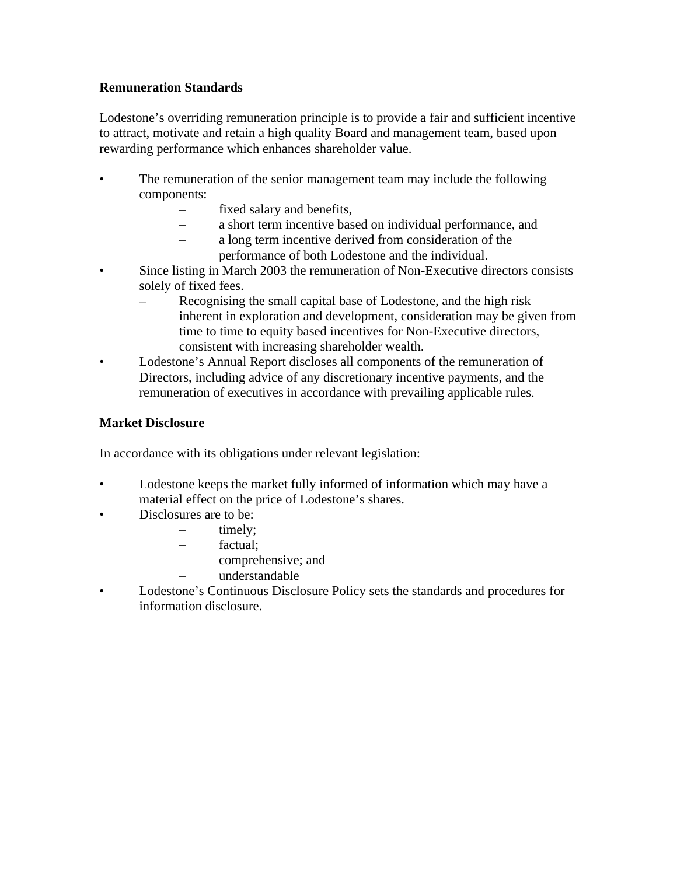#### **Remuneration Standards**

Lodestone's overriding remuneration principle is to provide a fair and sufficient incentive to attract, motivate and retain a high quality Board and management team, based upon rewarding performance which enhances shareholder value.

- The remuneration of the senior management team may include the following components:
	- fixed salary and benefits,
	- a short term incentive based on individual performance, and
	- a long term incentive derived from consideration of the performance of both Lodestone and the individual.
- Since listing in March 2003 the remuneration of Non-Executive directors consists solely of fixed fees.
	- Recognising the small capital base of Lodestone, and the high risk inherent in exploration and development, consideration may be given from time to time to equity based incentives for Non-Executive directors, consistent with increasing shareholder wealth.
- Lodestone's Annual Report discloses all components of the remuneration of Directors, including advice of any discretionary incentive payments, and the remuneration of executives in accordance with prevailing applicable rules.

## **Market Disclosure**

In accordance with its obligations under relevant legislation:

- Lodestone keeps the market fully informed of information which may have a material effect on the price of Lodestone's shares.
- Disclosures are to be:
	- timely;
	- factual;
	- comprehensive; and
	- understandable
- Lodestone's Continuous Disclosure Policy sets the standards and procedures for information disclosure.